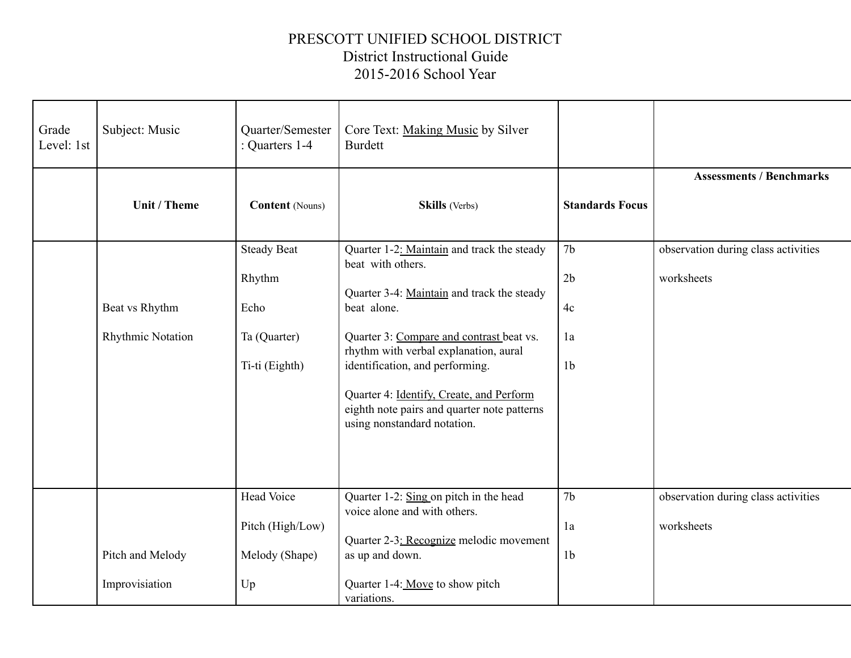## PRESCOTT UNIFIED SCHOOL DISTRICT District Instructional Guide 2015-2016 School Year

| Grade<br>Level: 1st | Subject: Music                      | Quarter/Semester<br>: Quarters 1-4                                     | Core Text: Making Music by Silver<br><b>Burdett</b>                                                                                                                                                                                                                                                                                                                            |                                                    |                                                   |
|---------------------|-------------------------------------|------------------------------------------------------------------------|--------------------------------------------------------------------------------------------------------------------------------------------------------------------------------------------------------------------------------------------------------------------------------------------------------------------------------------------------------------------------------|----------------------------------------------------|---------------------------------------------------|
|                     | Unit / Theme                        | <b>Content</b> (Nouns)                                                 | <b>Skills</b> (Verbs)                                                                                                                                                                                                                                                                                                                                                          | <b>Standards Focus</b>                             | <b>Assessments / Benchmarks</b>                   |
|                     | Beat vs Rhythm<br>Rhythmic Notation | <b>Steady Beat</b><br>Rhythm<br>Echo<br>Ta (Quarter)<br>Ti-ti (Eighth) | Quarter 1-2: Maintain and track the steady<br>beat with others.<br>Quarter 3-4: Maintain and track the steady<br>beat alone.<br>Quarter 3: Compare and contrast beat vs.<br>rhythm with verbal explanation, aural<br>identification, and performing.<br>Quarter 4: Identify, Create, and Perform<br>eighth note pairs and quarter note patterns<br>using nonstandard notation. | 7 <sub>b</sub><br>2b<br>4c<br>1a<br>1 <sub>b</sub> | observation during class activities<br>worksheets |
|                     | Pitch and Melody                    | Head Voice<br>Pitch (High/Low)<br>Melody (Shape)                       | Quarter 1-2: Sing on pitch in the head<br>voice alone and with others.<br>Quarter 2-3: Recognize melodic movement<br>as up and down.                                                                                                                                                                                                                                           | 7 <sub>b</sub><br>1a<br>1 <sub>b</sub>             | observation during class activities<br>worksheets |
|                     | Improvisiation                      | Up                                                                     | Quarter 1-4: Move to show pitch<br>variations.                                                                                                                                                                                                                                                                                                                                 |                                                    |                                                   |